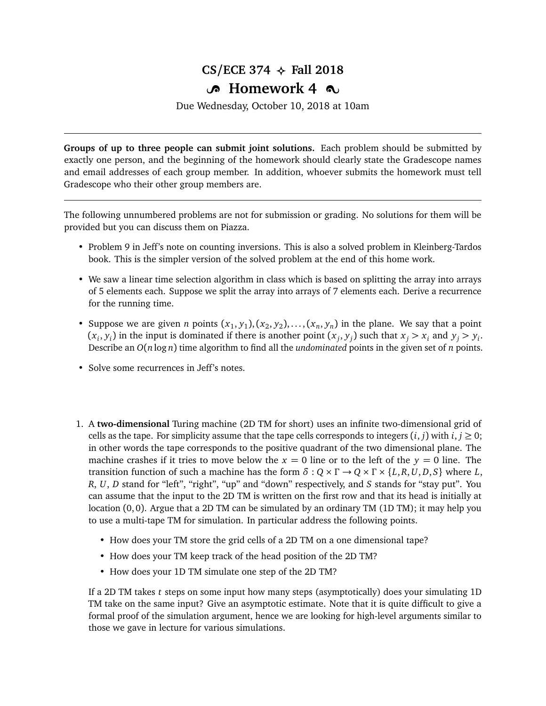## $CS/ECE$  374  $\leftrightarrow$  Fall 2018

## **B** Homework 4  $\infty$

Due Wednesday, October 10, 2018 at 10am

**Groups of up to three people can submit joint solutions.** Each problem should be submitted by exactly one person, and the beginning of the homework should clearly state the Gradescope names and email addresses of each group member. In addition, whoever submits the homework must tell Gradescope who their other group members are.

The following unnumbered problems are not for submission or grading. No solutions for them will be provided but you can discuss them on Piazza.

- Problem 9 in Jeff's note on counting inversions. This is also a solved problem in Kleinberg-Tardos book. This is the simpler version of the solved problem at the end of this home work.
- We saw a linear time selection algorithm in class which is based on splitting the array into arrays of 5 elements each. Suppose we split the array into arrays of 7 elements each. Derive a recurrence for the running time.
- Suppose we are given *n* points  $(x_1, y_1), (x_2, y_2), \ldots, (x_n, y_n)$  in the plane. We say that a point  $(x_i, y_i)$  in the input is dominated if there is another point  $(x_j, y_j)$  such that  $x_j > x_i$  and  $y_j > y_i$ . Describe an *O*(*n* log *n*) time algorithm to find all the *undominated* points in the given set of *n* points.
- Solve some recurrences in Jeff's notes.
- 1. A **two-dimensional** Turing machine (2D TM for short) uses an infinite two-dimensional grid of cells as the tape. For simplicity assume that the tape cells corresponds to integers  $(i, j)$  with  $i, j \ge 0$ ; in other words the tape corresponds to the positive quadrant of the two dimensional plane. The machine crashes if it tries to move below the  $x = 0$  line or to the left of the  $y = 0$  line. The transition function of such a machine has the form  $\delta$  :  $Q \times \Gamma \rightarrow Q \times \Gamma \times \{L, R, U, D, S\}$  where *L*, *R*, *U*, *D* stand for "left", "right", "up" and "down" respectively, and *S* stands for "stay put". You can assume that the input to the 2D TM is written on the first row and that its head is initially at location (0, 0). Argue that a 2D TM can be simulated by an ordinary TM (1D TM); it may help you to use a multi-tape TM for simulation. In particular address the following points.
	- How does your TM store the grid cells of a 2D TM on a one dimensional tape?
	- How does your TM keep track of the head position of the 2D TM?
	- How does your 1D TM simulate one step of the 2D TM?

If a 2D TM takes *t* steps on some input how many steps (asymptotically) does your simulating 1D TM take on the same input? Give an asymptotic estimate. Note that it is quite difficult to give a formal proof of the simulation argument, hence we are looking for high-level arguments similar to those we gave in lecture for various simulations.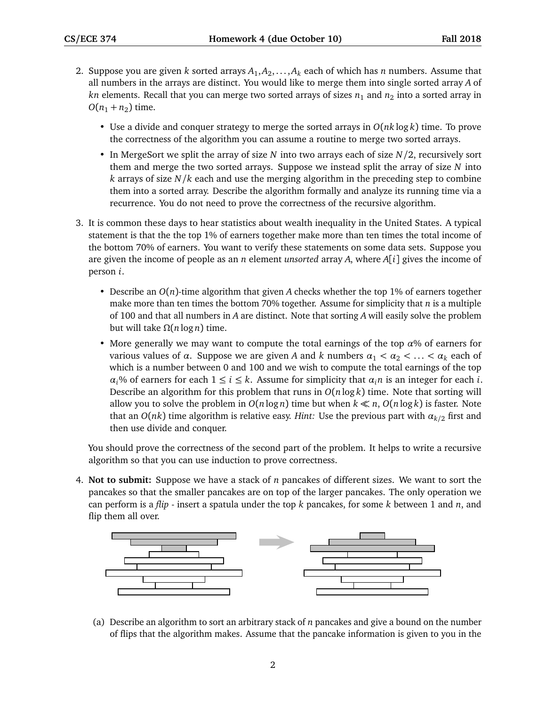- 2. Suppose you are given *k* sorted arrays *A*<sup>1</sup> ,*A*<sup>2</sup> , . . . ,*A<sup>k</sup>* each of which has *n* numbers. Assume that all numbers in the arrays are distinct. You would like to merge them into single sorted array *A* of  $kn$  elements. Recall that you can merge two sorted arrays of sizes  $n_1$  and  $n_2$  into a sorted array in  $O(n_1 + n_2)$  time.
	- Use a divide and conquer strategy to merge the sorted arrays in *O*(*nk* log *k*) time. To prove the correctness of the algorithm you can assume a routine to merge two sorted arrays.
	- In MergeSort we split the array of size *N* into two arrays each of size *N/*2, recursively sort them and merge the two sorted arrays. Suppose we instead split the array of size *N* into *k* arrays of size *N/k* each and use the merging algorithm in the preceding step to combine them into a sorted array. Describe the algorithm formally and analyze its running time via a recurrence. You do not need to prove the correctness of the recursive algorithm.
- 3. It is common these days to hear statistics about wealth inequality in the United States. A typical statement is that the the top 1% of earners together make more than ten times the total income of the bottom 70% of earners. You want to verify these statements on some data sets. Suppose you are given the income of people as an *n* element *unsorted* array *A*, where *A*[*i*] gives the income of person *i*.
	- Describe an *O*(*n*)-time algorithm that given *A* checks whether the top 1% of earners together make more than ten times the bottom 70% together. Assume for simplicity that *n* is a multiple of 100 and that all numbers in *A* are distinct. Note that sorting *A* will easily solve the problem but will take *Ω*(*n* log *n*) time.
	- More generally we may want to compute the total earnings of the top  $\alpha$ % of earners for various values of *α*. Suppose we are given *A* and *k* numbers  $a_1 < a_2 < \ldots < a_k$  each of which is a number between 0 and 100 and we wish to compute the total earnings of the top *α*<sup>*j*</sup> ∞ of earners for each 1 ≤ *i* ≤ *k*. Assume for simplicity that *α*<sup>*i*</sup>*n* is an integer for each *i*. Describe an algorithm for this problem that runs in *O*(*n* log *k*) time. Note that sorting will allow you to solve the problem in  $O(n \log n)$  time but when  $k \ll n$ ,  $O(n \log k)$  is faster. Note that an *O*(*nk*) time algorithm is relative easy. *Hint:* Use the previous part with *αk/*<sup>2</sup> first and then use divide and conquer.

You should prove the correctness of the second part of the problem. It helps to write a recursive algorithm so that you can use induction to prove correctness.

4. **Not to submit:** Suppose we have a stack of *n* pancakes of different sizes. We want to sort the pancakes so that the smaller pancakes are on top of the larger pancakes. The only operation we can perform is a *flip* - insert a spatula under the top *k* pancakes, for some *k* between 1 and *n*, and flip them all over.



(a) Describe an algorithm to sort an arbitrary stack of *n* pancakes and give a bound on the number of flips that the algorithm makes. Assume that the pancake information is given to you in the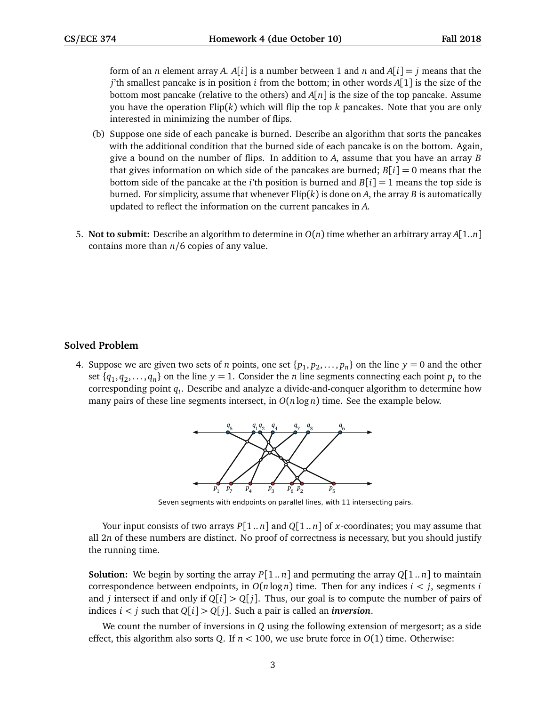form of an *n* element array *A*. *A*[*i*] is a number between 1 and *n* and *A*[*i*] = *j* means that the *j*'th smallest pancake is in position *i* from the bottom; in other words *A*[1] is the size of the bottom most pancake (relative to the others) and  $A[n]$  is the size of the top pancake. Assume you have the operation Flip(*k*) which will flip the top *k* pancakes. Note that you are only interested in minimizing the number of flips.

- (b) Suppose one side of each pancake is burned. Describe an algorithm that sorts the pancakes with the additional condition that the burned side of each pancake is on the bottom. Again, give a bound on the number of flips. In addition to *A*, assume that you have an array *B* that gives information on which side of the pancakes are burned;  $B[i] = 0$  means that the bottom side of the pancake at the *i*'th position is burned and  $B[i] = 1$  means the top side is burned. For simplicity, assume that whenever Flip(*k*) is done on *A*, the array *B* is automatically updated to reflect the information on the current pancakes in *A*.
- 5. **Not to submit:** Describe an algorithm to determine in *O*(*n*) time whether an arbitrary array *A*[1..*n*] contains more than *n/*6 copies of any value.

## **Solved Problem**

4. Suppose we are given two sets of *n* points, one set  $\{p_1, p_2, \ldots, p_n\}$  on the line  $y = 0$  and the other set  $\{q_1, q_2, \ldots, q_n\}$  on the line  $y = 1$ . Consider the *n* line segments connecting each point  $p_i$  to the corresponding point *q<sup>i</sup>* . Describe and analyze a divide-and-conquer algorithm to determine how many pairs of these line segments intersect, in  $O(n \log n)$  time. See the example below.



Seven segments with endpoints on parallel lines, with 11 intersecting pairs.

Your input consists of two arrays  $P[1..n]$  and  $Q[1..n]$  of *x*-coordinates; you may assume that all 2*n* of these numbers are distinct. No proof of correctness is necessary, but you should justify the running time.

**Solution:** We begin by sorting the array  $P[1..n]$  and permuting the array  $Q[1..n]$  to maintain correspondence between endpoints, in  $O(n \log n)$  time. Then for any indices  $i < j$ , segments *i* and *j* intersect if and only if  $Q[i] > Q[j]$ . Thus, our goal is to compute the number of pairs of indices  $i < j$  such that  $Q[i] > Q[j]$ . Such a pair is called an *inversion*.

We count the number of inversions in *Q* using the following extension of mergesort; as a side effect, this algorithm also sorts *Q*. If *n <* 100, we use brute force in *O*(1) time. Otherwise: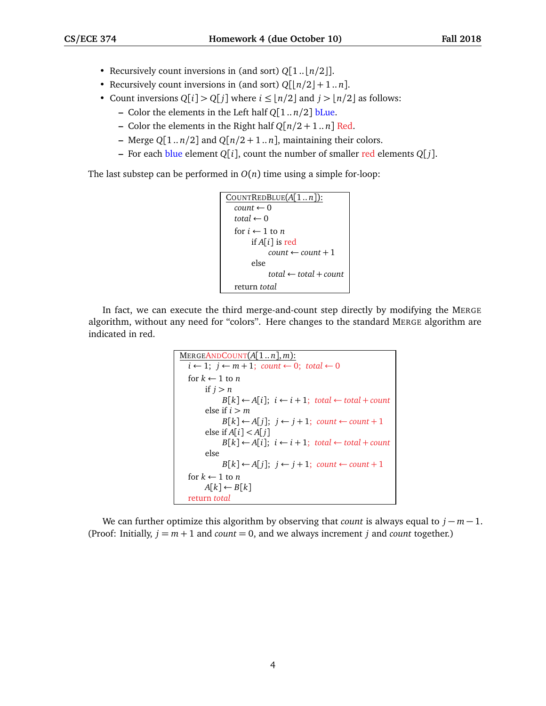- Recursively count inversions in (and sort)  $Q[1..[n/2]]$ .
- Recursively count inversions in (and sort)  $Q[\lfloor n/2 \rfloor + 1..n]$ .
- Count inversions  $Q[i] > Q[i]$  where  $i \leq |n/2|$  and  $j > |n/2|$  as follows:
	- **–** Color the elements in the Left half *Q*[1 .. *n/*2] bLue.
	- **–** Color the elements in the Right half *Q*[*n/*2 + 1 .. *n*] Red.
	- **–** Merge  $Q[1..n/2]$  and  $Q[n/2+1..n]$ , maintaining their colors.
	- **–** For each blue element *Q*[*i*], count the number of smaller red elements *Q*[ *j*].

The last substep can be performed in  $O(n)$  time using a simple for-loop:

```
COUNTREDBLUE(A[1 .. n]):
count \leftarrow 0total \leftarrow 0for i \leftarrow 1 to n
      if A[i] is red
            count \leftarrow count + 1else
            total ← total + count
return total
```
In fact, we can execute the third merge-and-count step directly by modifying the MERGE algorithm, without any need for "colors". Here changes to the standard MERGE algorithm are indicated in red.

```
MERGEANDCOUNT(A[1..n], m):
i \leftarrow 1; j \leftarrow m + 1; count ← 0; total ← 0
for k \leftarrow 1 to n
     if j > nB[k] ← A[i]; i ← i + 1; total ← total + count
      else if i > mB[k] ← A[j]; j ← j + 1; count ← count + 1
      else if A[i] < A[j]B[k] ← A[i]; i ← i + 1; total ← total + count
      else
           B[k] \leftarrow A[j]; \; j \leftarrow j+1; \; count \leftarrow count+1for k \leftarrow 1 to n
     A[k] \leftarrow B[k]return total
```
We can further optimize this algorithm by observing that *count* is always equal to *j* − *m* − 1. (Proof: Initially,  $j = m + 1$  and *count* = 0, and we always increment *j* and *count* together.)